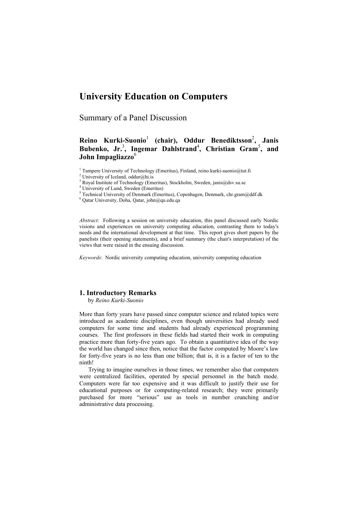# **University Education on Computers**

Summary of a Panel Discussion

# **Reino Kurki-Suonio**<sup>1</sup>  **(chair), Oddur Benediktsson**<sup>2</sup> **, Janis**  Bubenko, Jr.<sup>3</sup>, Ingemar Dahlstrand<sup>4</sup>, Christian Gram<sup>5</sup>, and **John Impagliazzo**<sup>6</sup>

<sup>1</sup> Tampere University of Technology (Emeritus), Finland, reino.kurki-suonio@tut.fi<br><sup>2</sup> University of Jackard, addur@hi.jp

<sup>3</sup> Royal Institute of Technology (Emeritus), Stockholm, Sweden, janis@dsv.su.se

University of Lund, Sweden (Emeritus)

Qatar University, Doha, Qatar, john@qu.edu.qa

*Abstract*: Following a session on university education, this panel discussed early Nordic visions and experiences on university computing education, contrasting them to today's needs and the international development at that time. This report gives short papers by the panelists (their opening statements), and a brief summary (the chair's interpretation) of the views that were raised in the ensuing discussion.

*Keywords*: Nordic university computing education, university computing education

### **1. Introductory Remarks**

by *Reino Kurki-Suonio* 

More than forty years have passed since computer science and related topics were introduced as academic disciplines, even though universities had already used computers for some time and students had already experienced programming courses. The first professors in these fields had started their work in computing practice more than forty-five years ago. To obtain a quantitative idea of the way the world has changed since then, notice that the factor computed by Moore's law for forty-five years is no less than one billion; that is, it is a factor of ten to the ninth!

Trying to imagine ourselves in those times, we remember also that computers were centralized facilities, operated by special personnel in the batch mode. Computers were far too expensive and it was difficult to justify their use for educational purposes or for computing-related research; they were primarily purchased for more "serious" use as tools in number crunching and/or administrative data processing.

<sup>&</sup>lt;sup>2</sup> University of Iceland, oddur@hi.is

<sup>&</sup>lt;sup>5</sup> Technical University of Denmark (Emeritus), Copenhagen, Denmark, chr.gram@ddf.dk  $^{6}$ Oeter University, Debe, Oeter iebr@su edu ee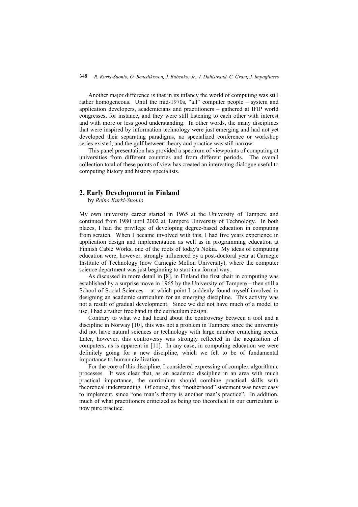#### 348 *R. Kurki-Suonio, O. Benediktsson, J. Bubenko, Jr., I. Dahlstrand, C. Gram, J. Impagliazzo*

Another major difference is that in its infancy the world of computing was still rather homogeneous. Until the mid-1970s, "all" computer people – system and application developers, academicians and practitioners – gathered at IFIP world congresses, for instance, and they were still listening to each other with interest and with more or less good understanding. In other words, the many disciplines that were inspired by information technology were just emerging and had not yet developed their separating paradigms, no specialized conference or workshop series existed, and the gulf between theory and practice was still narrow.

This panel presentation has provided a spectrum of viewpoints of computing at universities from different countries and from different periods. The overall collection total of these points of view has created an interesting dialogue useful to computing history and history specialists.

#### **2. Early Development in Finland**

by *Reino Kurki-Suonio* 

My own university career started in 1965 at the University of Tampere and continued from 1980 until 2002 at Tampere University of Technology. In both places, I had the privilege of developing degree-based education in computing from scratch. When I became involved with this, I had five years experience in application design and implementation as well as in programming education at Finnish Cable Works, one of the roots of today's Nokia. My ideas of computing education were, however, strongly influenced by a post-doctoral year at Carnegie Institute of Technology (now Carnegie Mellon University), where the computer science department was just beginning to start in a formal way.

As discussed in more detail in [8], in Finland the first chair in computing was established by a surprise move in 1965 by the University of Tampere – then still a School of Social Sciences – at which point I suddenly found myself involved in designing an academic curriculum for an emerging discipline. This activity was not a result of gradual development. Since we did not have much of a model to use, I had a rather free hand in the curriculum design.

Contrary to what we had heard about the controversy between a tool and a discipline in Norway [10], this was not a problem in Tampere since the university did not have natural sciences or technology with large number crunching needs. Later, however, this controversy was strongly reflected in the acquisition of computers, as is apparent in [11]. In any case, in computing education we were definitely going for a new discipline, which we felt to be of fundamental importance to human civilization.

For the core of this discipline, I considered expressing of complex algorithmic processes. It was clear that, as an academic discipline in an area with much practical importance, the curriculum should combine practical skills with theoretical understanding. Of course, this "motherhood" statement was never easy to implement, since "one man's theory is another man's practice". In addition, much of what practitioners criticized as being too theoretical in our curriculum is now pure practice.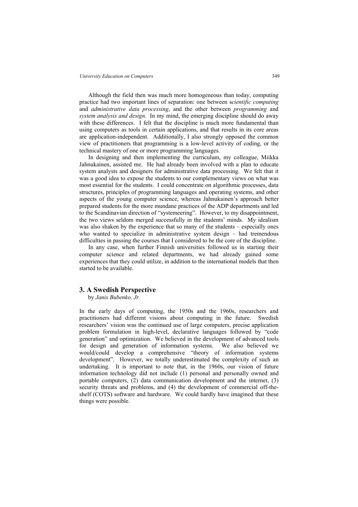Although the field then was much more homogeneous than today, computing practice had two important lines of separation: one between s*cientific computing* and *administrative data processing*, and the other between *programming* and *system analysis and design*. In my mind, the emerging discipline should do away with these differences. I felt that the discipline is much more fundamental than using computers as tools in certain applications, and that results in its core areas are application-independent. Additionally, I also strongly opposed the common view of practitioners that programming is a low-level activity of coding, or the technical mastery of one or more programming languages.

In designing and then implementing the curriculum, my colleague, Miikka Jahnukainen, assisted me. He had already been involved with a plan to educate system analysts and designers for administrative data processing. We felt that it was a good idea to expose the students to our complementary views on what was most essential for the students. I could concentrate on algorithmic processes, data structures, principles of programming languages and operating systems, and other aspects of the young computer science, whereas Jahnukainen's approach better prepared students for the more mundane practices of the ADP departments and led to the Scandinavian direction of "systemeering". However, to my disappointment, the two views seldom merged successfully in the students' minds. My idealism was also shaken by the experience that so many of the students – especially ones who wanted to specialize in administrative system design – had tremendous difficulties in passing the courses that I considered to be the core of the discipline.

In any case, when further Finnish universities followed us in starting their computer science and related departments, we had already gained some experiences that they could utilize, in addition to the international models that then started to be available.

#### **3. A Swedish Perspective**

by *Janis Bubenko, Jr.* 

In the early days of computing, the 1950s and the 1960s, researchers and practitioners had different visions about computing in the future. Swedish researchers' vision was the continued use of large computers, precise application problem formulation in high-level, declarative languages followed by "code generation" and optimization. We believed in the development of advanced tools for design and generation of information systems. We also believed we would/could develop a comprehensive "theory of information systems development". However, we totally underestimated the complexity of such an undertaking. It is important to note that, in the 1960s, our vision of future information technology did not include (1) personal and personally owned and portable computers, (2) data communication development and the internet, (3) security threats and problems, and (4) the development of commercial off-theshelf (COTS) software and hardware. We could hardly have imagined that these things were possible.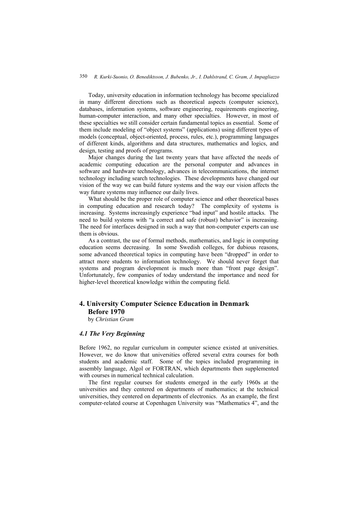#### 350 *R. Kurki-Suonio, O. Benediktsson, J. Bubenko, Jr., I. Dahlstrand, C. Gram, J. Impagliazzo*

Today, university education in information technology has become specialized in many different directions such as theoretical aspects (computer science), databases, information systems, software engineering, requirements engineering, human-computer interaction, and many other specialties. However, in most of these specialties we still consider certain fundamental topics as essential. Some of them include modeling of "object systems" (applications) using different types of models (conceptual, object-oriented, process, rules, etc.), programming languages of different kinds, algorithms and data structures, mathematics and logics, and design, testing and proofs of programs.

Major changes during the last twenty years that have affected the needs of academic computing education are the personal computer and advances in software and hardware technology, advances in telecommunications, the internet technology including search technologies. These developments have changed our vision of the way we can build future systems and the way our vision affects the way future systems may influence our daily lives.

What should be the proper role of computer science and other theoretical bases in computing education and research today? The complexity of systems is increasing. Systems increasingly experience "bad input" and hostile attacks. The need to build systems with "a correct and safe (robust) behavior" is increasing. The need for interfaces designed in such a way that non-computer experts can use them is obvious.

As a contrast, the use of formal methods, mathematics, and logic in computing education seems decreasing. In some Swedish colleges, for dubious reasons, some advanced theoretical topics in computing have been "dropped" in order to attract more students to information technology. We should never forget that systems and program development is much more than "front page design". Unfortunately, few companies of today understand the importance and need for higher-level theoretical knowledge within the computing field.

# **4. University Computer Science Education in Denmark Before 1970**

by *Christian Gram* 

### *4.1 The Very Beginning*

Before 1962, no regular curriculum in computer science existed at universities. However, we do know that universities offered several extra courses for both students and academic staff. Some of the topics included programming in assembly language, Algol or FORTRAN, which departments then supplemented with courses in numerical technical calculation.

The first regular courses for students emerged in the early 1960s at the universities and they centered on departments of mathematics; at the technical universities, they centered on departments of electronics. As an example, the first computer-related course at Copenhagen University was "Mathematics 4", and the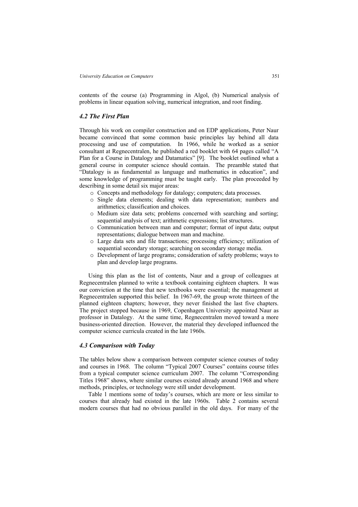contents of the course (a) Programming in Algol, (b) Numerical analysis of problems in linear equation solving, numerical integration, and root finding.

#### *4.2 The First Plan*

Through his work on compiler construction and on EDP applications, Peter Naur became convinced that some common basic principles lay behind all data processing and use of computation. In 1966, while he worked as a senior consultant at Regnecentralen, he published a red booklet with 64 pages called "A Plan for a Course in Datalogy and Datamatics" [9]. The booklet outlined what a general course in computer science should contain. The preamble stated that "Datalogy is as fundamental as language and mathematics in education", and some knowledge of programming must be taught early. The plan proceeded by describing in some detail six major areas:

- o Concepts and methodology for datalogy; computers; data processes.
- o Single data elements; dealing with data representation; numbers and arithmetics; classification and choices.
- o Medium size data sets; problems concerned with searching and sorting; sequential analysis of text; arithmetic expressions; list structures.
- o Communication between man and computer; format of input data; output representations; dialogue between man and machine.
- o Large data sets and file transactions; processing efficiency; utilization of sequential secondary storage; searching on secondary storage media.
- o Development of large programs; consideration of safety problems; ways to plan and develop large programs.

Using this plan as the list of contents, Naur and a group of colleagues at Regnecentralen planned to write a textbook containing eighteen chapters. It was our conviction at the time that new textbooks were essential; the management at Regnecentralen supported this belief. In 1967-69, the group wrote thirteen of the planned eighteen chapters; however, they never finished the last five chapters. The project stopped because in 1969, Copenhagen University appointed Naur as professor in Datalogy. At the same time, Regnecentralen moved toward a more business-oriented direction. However, the material they developed influenced the computer science curricula created in the late 1960s.

#### *4.3 Comparison with Today*

The tables below show a comparison between computer science courses of today and courses in 1968. The column "Typical 2007 Courses" contains course titles from a typical computer science curriculum 2007. The column "Corresponding Titles 1968" shows, where similar courses existed already around 1968 and where methods, principles, or technology were still under development.

Table 1 mentions some of today's courses, which are more or less similar to courses that already had existed in the late 1960s. Table 2 contains several modern courses that had no obvious parallel in the old days. For many of the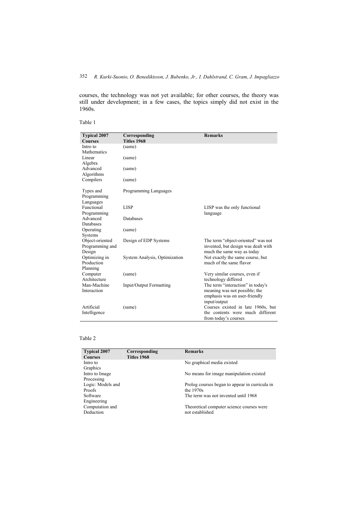### 352 *R. Kurki-Suonio, O. Benediktsson, J. Bubenko, Jr., I. Dahlstrand, C. Gram, J. Impagliazzo*

courses, the technology was not yet available; for other courses, the theory was still under development; in a few cases, the topics simply did not exist in the 1960s.

#### Table 1

| <b>Typical 2007</b>      | Corresponding                  | <b>Remarks</b>                      |
|--------------------------|--------------------------------|-------------------------------------|
| <b>Courses</b>           | Titles 1968                    |                                     |
| Intro to                 | (same)                         |                                     |
| Mathematics              |                                |                                     |
| Linear                   | (same)                         |                                     |
| Algebra                  |                                |                                     |
| Advanced                 | (same)                         |                                     |
| Algorithms               |                                |                                     |
| Compilers                | (same)                         |                                     |
|                          |                                |                                     |
| Types and<br>Programming | Programming Languages          |                                     |
| Languages                |                                |                                     |
| Functional               | <b>LISP</b>                    | LISP was the only functional        |
| Programming              |                                | language                            |
| Advanced                 | Databases                      |                                     |
| Databases                |                                |                                     |
| Operating                | (same)                         |                                     |
| Systems                  |                                |                                     |
| Object-oriented          | Design of EDP Systems          | The term "object-oriented" was not  |
| Programming and          |                                | invented, but design was dealt with |
| Design                   |                                | much the same way as today          |
| Optimizing in            | System Analysis, Optimization  | Not exactly the same course, but    |
| Production               |                                | much of the same flavor             |
| Planning                 |                                |                                     |
| Computer                 | (same)                         | Very similar courses, even if       |
| Architecture             |                                | technology differed                 |
| Man-Machine              | <b>Input/Output Formatting</b> | The term "interaction" in today's   |
| Interaction              |                                | meaning was not possible; the       |
|                          |                                | emphasis was on user-friendly       |
|                          |                                | input/output                        |
| Artificial               | (same)                         | Courses existed in late 1960s, but  |
| Intelligence             |                                | the contents were much different    |
|                          |                                | from today's courses                |

#### Table 2

| <b>Typical 2007</b><br><b>Courses</b> | Corresponding<br>Titles 1968 | <b>Remarks</b>                                                |
|---------------------------------------|------------------------------|---------------------------------------------------------------|
| Intro to<br>Graphics                  |                              | No graphical media existed                                    |
| Intro to Image<br>Processing          |                              | No means for image manipulation existed                       |
| Logic: Models and<br>Proofs           |                              | Prolog courses began to appear in curricula in<br>the $1970s$ |
| Software<br>Engineering               |                              | The term was not invented until 1968                          |
| Computation and<br><b>Deduction</b>   |                              | Theoretical computer science courses were<br>not established  |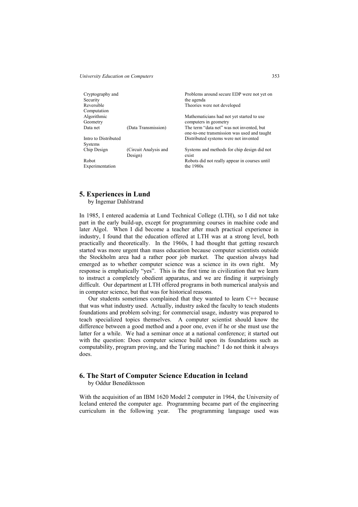*University Education on Computers* 353

| Cryptography and     |                                  | Problems around secure EDP were not yet on                                               |
|----------------------|----------------------------------|------------------------------------------------------------------------------------------|
| Security             |                                  | the agenda                                                                               |
| Reversible           |                                  | Theories were not developed                                                              |
| Computation          |                                  |                                                                                          |
| Algorithmic          |                                  | Mathematicians had not yet started to use                                                |
| Geometry             |                                  | computers in geometry                                                                    |
| Data net             | (Data Transmission)              | The term "data net" was not invented, but<br>one-to-one transmission was used and taught |
| Intro to Distributed |                                  | Distributed systems were not invented                                                    |
| <b>Systems</b>       |                                  |                                                                                          |
| Chip Design          | (Circuit Analysis and<br>Design) | Systems and methods for chip design did not<br>exist                                     |
| Robot                |                                  | Robots did not really appear in courses until                                            |
| Experimentation      |                                  | the $1980s$                                                                              |

# **5. Experiences in Lund**

by Ingemar Dahlstrand

In 1985, I entered academia at Lund Technical College (LTH), so I did not take part in the early build-up, except for programming courses in machine code and later Algol. When I did become a teacher after much practical experience in industry, I found that the education offered at LTH was at a strong level, both practically and theoretically. In the 1960s, I had thought that getting research started was more urgent than mass education because computer scientists outside the Stockholm area had a rather poor job market. The question always had emerged as to whether computer science was a science in its own right. My response is emphatically "yes". This is the first time in civilization that we learn to instruct a completely obedient apparatus, and we are finding it surprisingly difficult. Our department at LTH offered programs in both numerical analysis and in computer science, but that was for historical reasons.

Our students sometimes complained that they wanted to learn C++ because that was what industry used. Actually, industry asked the faculty to teach students foundations and problem solving; for commercial usage, industry was prepared to teach specialized topics themselves. A computer scientist should know the difference between a good method and a poor one, even if he or she must use the latter for a while. We had a seminar once at a national conference; it started out with the question: Does computer science build upon its foundations such as computability, program proving, and the Turing machine? I do not think it always does.

### **6. The Start of Computer Science Education in Iceland**

by Oddur Benediktsson

With the acquisition of an IBM 1620 Model 2 computer in 1964, the University of Iceland entered the computer age. Programming became part of the engineering curriculum in the following year. The programming language used was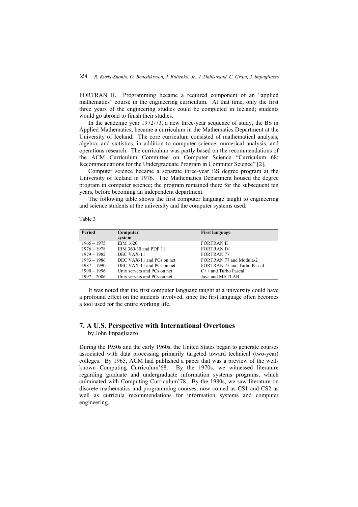FORTRAN II. Programming became a required component of an "applied mathematics" course in the engineering curriculum. At that time, only the first three years of the engineering studies could be completed in Iceland; students would go abroad to finish their studies.

In the academic year 1972-73, a new three-year sequence of study, the BS in Applied Mathematics, became a curriculum in the Mathematics Department at the University of Iceland. The core curriculum consisted of mathematical analysis, algebra, and statistics, in addition to computer science, numerical analysis, and operations research. The curriculum was partly based on the recommendations of the ACM Curriculum Committee on Computer Science "Curriculum 68: Recommendations for the Undergraduate Program in Computer Science" [2].

Computer science became a separate three-year BS degree program at the University of Iceland in 1976. The Mathematics Department housed the degree program in computer science; the program remained there for the subsequent ten years, before becoming an independent department.

The following table shows the first computer language taught to engineering and science students at the university and the computer systems used.

Table 3

| Period        | Computer                    | <b>First language</b>       |
|---------------|-----------------------------|-----------------------------|
|               | system                      |                             |
| $1965 - 1975$ | <b>IBM 1620</b>             | <b>FORTRANII</b>            |
| $1976 - 1978$ | IBM 360/30 and PDP 11       | <b>FORTRAN IV</b>           |
| $1979 - 1982$ | DEC VAX-11                  | <b>FORTRAN 77</b>           |
| $1983 - 1986$ | DEC VAX-11 and PCs on net   | FORTRAN 77 and Modula-2     |
| $1987 - 1990$ | DEC VAX-11 and PCs on net   | FORTRAN 77 and Turbo Pascal |
| $1990 - 1996$ | Unix servers and PCs on net | $C++$ and Turbo Pascal      |
| $1997 - 2006$ | Unix servers and PCs on net | Java and MATLAB             |

It was noted that the first computer language taught at a university could have a profound effect on the students involved, since the first language often becomes a tool used for the entire working life.

# **7. A U.S. Perspective with International Overtones**

by John Impagliazzo

During the 1950s and the early 1960s, the United States began to generate courses associated with data processing primarily targeted toward technical (two-year) colleges. By 1965, ACM had published a paper that was a preview of the wellknown Computing Curriculum'68. By the 1970s, we witnessed literature regarding graduate and undergraduate information systems programs, which culminated with Computing Curriculum'78. By the 1980s, we saw literature on discrete mathematics and programming courses, now coined as CS1 and CS2 as well as curricula recommendations for information systems and computer engineering.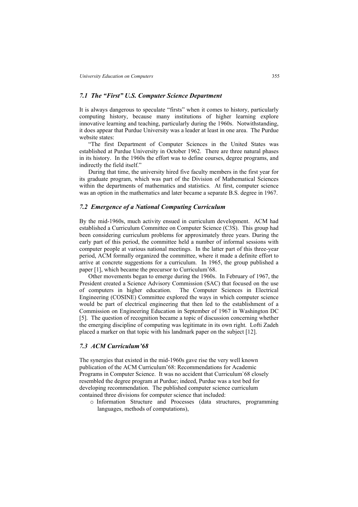### *7.1 The "First" U.S. Computer Science Department*

It is always dangerous to speculate "firsts" when it comes to history, particularly computing history, because many institutions of higher learning explore innovative learning and teaching, particularly during the 1960s. Notwithstanding, it does appear that Purdue University was a leader at least in one area. The Purdue website states:

"The first Department of Computer Sciences in the United States was established at Purdue University in October 1962. There are three natural phases in its history. In the 1960s the effort was to define courses, degree programs, and indirectly the field itself."

During that time, the university hired five faculty members in the first year for its graduate program, which was part of the Division of Mathematical Sciences within the departments of mathematics and statistics. At first, computer science was an option in the mathematics and later became a separate B.S. degree in 1967.

#### *7.2 Emergence of a National Computing Curriculum*

By the mid-1960s, much activity ensued in curriculum development. ACM had established a Curriculum Committee on Computer Science (C3S). This group had been considering curriculum problems for approximately three years. During the early part of this period, the committee held a number of informal sessions with computer people at various national meetings. In the latter part of this three-year period, ACM formally organized the committee, where it made a definite effort to arrive at concrete suggestions for a curriculum. In 1965, the group published a paper [1], which became the precursor to Curriculum'68.

Other movements began to emerge during the 1960s. In February of 1967, the President created a Science Advisory Commission (SAC) that focused on the use of computers in higher education. The Computer Sciences in Electrical Engineering (COSINE) Committee explored the ways in which computer science would be part of electrical engineering that then led to the establishment of a Commission on Engineering Education in September of 1967 in Washington DC [5]. The question of recognition became a topic of discussion concerning whether the emerging discipline of computing was legitimate in its own right. Lofti Zadeh placed a marker on that topic with his landmark paper on the subject [12].

#### *7.3 ACM Curriculum'68*

The synergies that existed in the mid-1960s gave rise the very well known publication of the ACM Curriculum'68: Recommendations for Academic Programs in Computer Science. It was no accident that Curriculum`68 closely resembled the degree program at Purdue; indeed, Purdue was a test bed for developing recommendation. The published computer science curriculum contained three divisions for computer science that included:

o Information Structure and Processes (data structures, programming languages, methods of computations),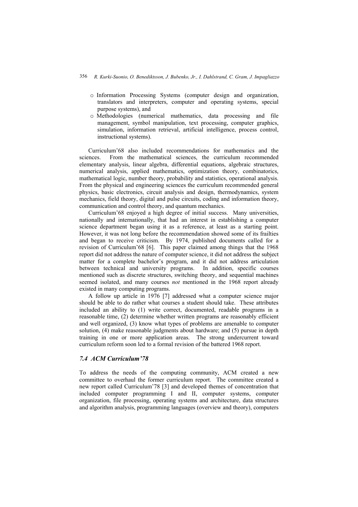- o Information Processing Systems (computer design and organization, translators and interpreters, computer and operating systems, special purpose systems), and
- o Methodologies (numerical mathematics, data processing and file management, symbol manipulation, text processing, computer graphics, simulation, information retrieval, artificial intelligence, process control, instructional systems).

Curriculum'68 also included recommendations for mathematics and the sciences. From the mathematical sciences, the curriculum recommended elementary analysis, linear algebra, differential equations, algebraic structures, numerical analysis, applied mathematics, optimization theory, combinatorics, mathematical logic, number theory, probability and statistics, operational analysis. From the physical and engineering sciences the curriculum recommended general physics, basic electronics, circuit analysis and design, thermodynamics, system mechanics, field theory, digital and pulse circuits, coding and information theory, communication and control theory, and quantum mechanics.

Curriculum'68 enjoyed a high degree of initial success. Many universities, nationally and internationally, that had an interest in establishing a computer science department began using it as a reference, at least as a starting point. However, it was not long before the recommendation showed some of its frailties and began to receive criticism. By 1974, published documents called for a revision of Curriculum'68 [6]. This paper claimed among things that the 1968 report did not address the nature of computer science, it did not address the subject matter for a complete bachelor's program, and it did not address articulation between technical and university programs. In addition, specific courses mentioned such as discrete structures, switching theory, and sequential machines seemed isolated, and many courses *not* mentioned in the 1968 report already existed in many computing programs.

A follow up article in 1976 [7] addressed what a computer science major should be able to do rather what courses a student should take. These attributes included an ability to (1) write correct, documented, readable programs in a reasonable time, (2) determine whether written programs are reasonably efficient and well organized, (3) know what types of problems are amenable to computer solution, (4) make reasonable judgments about hardware; and (5) pursue in depth training in one or more application areas. The strong undercurrent toward curriculum reform soon led to a formal revision of the battered 1968 report.

### *7.4 ACM Curriculum'78*

To address the needs of the computing community, ACM created a new committee to overhaul the former curriculum report. The committee created a new report called Curriculum'78 [3] and developed themes of concentration that included computer programming I and II, computer systems, computer organization, file processing, operating systems and architecture, data structures and algorithm analysis, programming languages (overview and theory), computers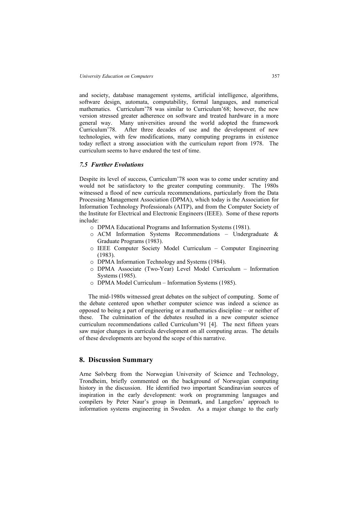and society, database management systems, artificial intelligence, algorithms, software design, automata, computability, formal languages, and numerical mathematics. Curriculum'78 was similar to Curriculum'68; however, the new version stressed greater adherence on software and treated hardware in a more general way. Many universities around the world adopted the framework Curriculum'78. After three decades of use and the development of new technologies, with few modifications, many computing programs in existence today reflect a strong association with the curriculum report from 1978. The curriculum seems to have endured the test of time.

#### *7.5 Further Evolutions*

Despite its level of success, Curriculum'78 soon was to come under scrutiny and would not be satisfactory to the greater computing community. The 1980s witnessed a flood of new curricula recommendations, particularly from the Data Processing Management Association (DPMA), which today is the Association for Information Technology Professionals (AITP), and from the Computer Society of the Institute for Electrical and Electronic Engineers (IEEE). Some of these reports include:

- o DPMA Educational Programs and Information Systems (1981).
- o ACM Information Systems Recommendations Undergraduate & Graduate Programs (1983).
- o IEEE Computer Society Model Curriculum Computer Engineering (1983).
- o DPMA Information Technology and Systems (1984).
- o DPMA Associate (Two-Year) Level Model Curriculum Information Systems (1985).
- o DPMA Model Curriculum Information Systems (1985).

The mid-1980s witnessed great debates on the subject of computing. Some of the debate centered upon whether computer science was indeed a science as opposed to being a part of engineering or a mathematics discipline – or neither of these. The culmination of the debates resulted in a new computer science curriculum recommendations called Curriculum'91 [4]. The next fifteen years saw major changes in curricula development on all computing areas. The details of these developments are beyond the scope of this narrative.

## **8. Discussion Summary**

Arne Sølvberg from the Norwegian University of Science and Technology, Trondheim, briefly commented on the background of Norwegian computing history in the discussion. He identified two important Scandinavian sources of inspiration in the early development: work on programming languages and compilers by Peter Naur's group in Denmark, and Langefors' approach to information systems engineering in Sweden. As a major change to the early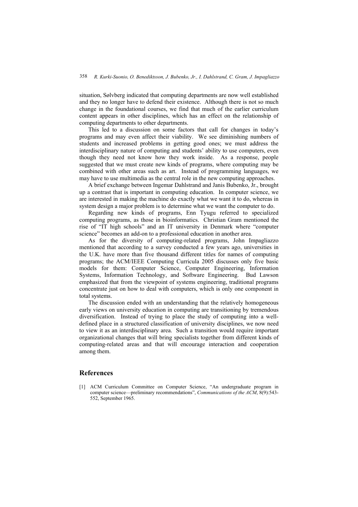situation, Sølvberg indicated that computing departments are now well established and they no longer have to defend their existence. Although there is not so much change in the foundational courses, we find that much of the earlier curriculum content appears in other disciplines, which has an effect on the relationship of computing departments to other departments.

This led to a discussion on some factors that call for changes in today's programs and may even affect their viability. We see diminishing numbers of students and increased problems in getting good ones; we must address the interdisciplinary nature of computing and students' ability to use computers, even though they need not know how they work inside. As a response, people suggested that we must create new kinds of programs, where computing may be combined with other areas such as art. Instead of programming languages, we may have to use multimedia as the central role in the new computing approaches.

A brief exchange between Ingemar Dahlstrand and Janis Bubenko, Jr., brought up a contrast that is important in computing education. In computer science, we are interested in making the machine do exactly what we want it to do, whereas in system design a major problem is to determine what we want the computer to do.

Regarding new kinds of programs, Enn Tyugu referred to specialized computing programs, as those in bioinformatics. Christian Gram mentioned the rise of "IT high schools" and an IT university in Denmark where "computer science" becomes an add-on to a professional education in another area.

As for the diversity of computing-related programs, John Impagliazzo mentioned that according to a survey conducted a few years ago, universities in the U.K. have more than five thousand different titles for names of computing programs; the ACM/IEEE Computing Curricula 2005 discusses only five basic models for them: Computer Science, Computer Engineering, Information Systems, Information Technology, and Software Engineering. Bud Lawson emphasized that from the viewpoint of systems engineering, traditional programs concentrate just on how to deal with computers, which is only one component in total systems.

The discussion ended with an understanding that the relatively homogeneous early views on university education in computing are transitioning by tremendous diversification. Instead of trying to place the study of computing into a welldefined place in a structured classification of university disciplines, we now need to view it as an interdisciplinary area. Such a transition would require important organizational changes that will bring specialists together from different kinds of computing-related areas and that will encourage interaction and cooperation among them.

#### **References**

[1] ACM Curriculum Committee on Computer Science, "An undergraduate program in computer science—preliminary recommendations", *Communications of the ACM*, 8(9):543- 552, September 1965.